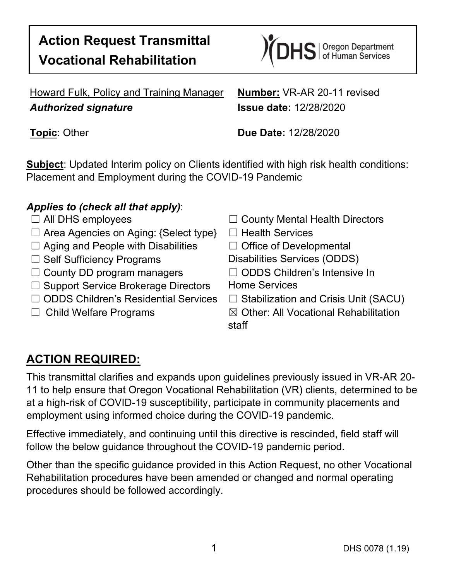# **Action Request Transmittal Vocational Rehabilitation**



Howard Fulk, Policy and Training Manager **Number:** VR-AR 20-11 revised *Authorized signature* **Issue date:** 12/28/2020

**Topic**: Other **Due Date:** 12/28/2020

**Subject**: Updated Interim policy on Clients identified with high risk health conditions: Placement and Employment during the COVID-19 Pandemic

#### *Applies to (check all that apply)*:

- 
- ☐ Area Agencies on Aging: {Select type} ☐ Health Services
- ☐ Aging and People with Disabilities ☐ Office of Developmental
- 
- ☐ County DD program managers ☐ ODDS Children's Intensive In
- □ Support Service Brokerage Directors Home Services
- ☐ ODDS Children's Residential Services ☐ Stabilization and Crisis Unit (SACU)
- 
- ☐ All DHS employees ☐ County Mental Health Directors
	-
	-
- □ Self Sufficiency Programs Disabilities Services (ODDS)
	-
	-
	-

☐ Child Welfare Programs ☒ Other: All Vocational Rehabilitation staff

### **ACTION REQUIRED:**

This transmittal clarifies and expands upon guidelines previously issued in VR-AR 20- 11 to help ensure that Oregon Vocational Rehabilitation (VR) clients, determined to be at a high-risk of COVID-19 susceptibility, participate in community placements and employment using informed choice during the COVID-19 pandemic.

Effective immediately, and continuing until this directive is rescinded, field staff will follow the below guidance throughout the COVID-19 pandemic period.

Other than the specific guidance provided in this Action Request, no other Vocational Rehabilitation procedures have been amended or changed and normal operating procedures should be followed accordingly.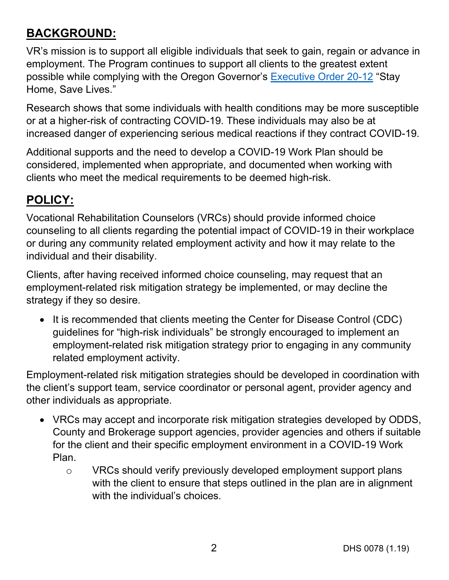## **BACKGROUND:**

VR's mission is to support all eligible individuals that seek to gain, regain or advance in employment. The Program continues to support all clients to the greatest extent possible while complying with the Oregon Governor's [Executive Order 20-12](https://www.oregon.gov/gov/admin/Pages/eo_20-12.aspx) "Stay Home, Save Lives."

Research shows that some individuals with health conditions may be more susceptible or at a higher-risk of contracting COVID-19. These individuals may also be at increased danger of experiencing serious medical reactions if they contract COVID-19.

Additional supports and the need to develop a COVID-19 Work Plan should be considered, implemented when appropriate, and documented when working with clients who meet the medical requirements to be deemed high-risk.

# **POLICY:**

Vocational Rehabilitation Counselors (VRCs) should provide informed choice counseling to all clients regarding the potential impact of COVID-19 in their workplace or during any community related employment activity and how it may relate to the individual and their disability.

Clients, after having received informed choice counseling, may request that an employment-related risk mitigation strategy be implemented, or may decline the strategy if they so desire.

• It is recommended that clients meeting the Center for Disease Control (CDC) guidelines for "high-risk individuals" be strongly encouraged to implement an employment-related risk mitigation strategy prior to engaging in any community related employment activity.

Employment-related risk mitigation strategies should be developed in coordination with the client's support team, service coordinator or personal agent, provider agency and other individuals as appropriate.

- VRCs may accept and incorporate risk mitigation strategies developed by ODDS, County and Brokerage support agencies, provider agencies and others if suitable for the client and their specific employment environment in a COVID-19 Work Plan.
	- o VRCs should verify previously developed employment support plans with the client to ensure that steps outlined in the plan are in alignment with the individual's choices.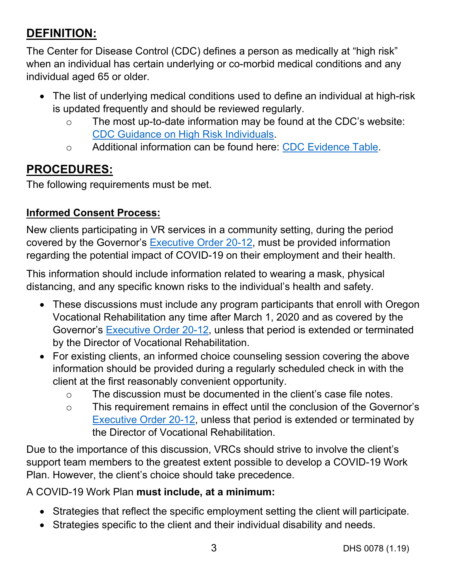### **DEFINITION:**

The Center for Disease Control (CDC) defines a person as medically at "high risk" when an individual has certain underlying or co-morbid medical conditions and any individual aged 65 or older.

- The list of underlying medical conditions used to define an individual at high-risk is updated frequently and should be reviewed regularly.
	- o The most up-to-date information may be found at the CDC's website: CDC Guidance [on High Risk Individuals.](https://www.cdc.gov/coronavirus/2019-ncov/need-extra-precautions/people-with-medical-conditions.html?CDC_AA_refVal=https%3A%2F%2Fwww.cdc.gov%2Fcoronavirus%2F2019-ncov%2Fneed-extra-precautions%2Fgroups-at-higher-risk.html)
	- o Additional information can be found here: [CDC Evidence Table.](https://www.cdc.gov/coronavirus/2019-ncov/need-extra-precautions/evidence-table.html)

# **PROCEDURES:**

The following requirements must be met.

### **Informed Consent Process:**

New clients participating in VR services in a community setting, during the period covered by the Governor's [Executive Order 20-12,](https://www.oregon.gov/gov/admin/Pages/eo_20-12.aspx) must be provided information regarding the potential impact of COVID-19 on their employment and their health.

This information should include information related to wearing a mask, physical distancing, and any specific known risks to the individual's health and safety.

- These discussions must include any program participants that enroll with Oregon Vocational Rehabilitation any time after March 1, 2020 and as covered by the Governor's [Executive Order 20-12,](https://www.oregon.gov/gov/admin/Pages/eo_20-12.aspx) unless that period is extended or terminated by the Director of Vocational Rehabilitation.
- For existing clients, an informed choice counseling session covering the above information should be provided during a regularly scheduled check in with the client at the first reasonably convenient opportunity.
	- o The discussion must be documented in the client's case file notes.
	- o This requirement remains in effect until the conclusion of the Governor's [Executive Order 20-12,](https://www.oregon.gov/gov/admin/Pages/eo_20-12.aspx) unless that period is extended or terminated by the Director of Vocational Rehabilitation.

Due to the importance of this discussion, VRCs should strive to involve the client's support team members to the greatest extent possible to develop a COVID-19 Work Plan. However, the client's choice should take precedence.

#### A COVID-19 Work Plan **must include, at a minimum:**

- Strategies that reflect the specific employment setting the client will participate.
- Strategies specific to the client and their individual disability and needs.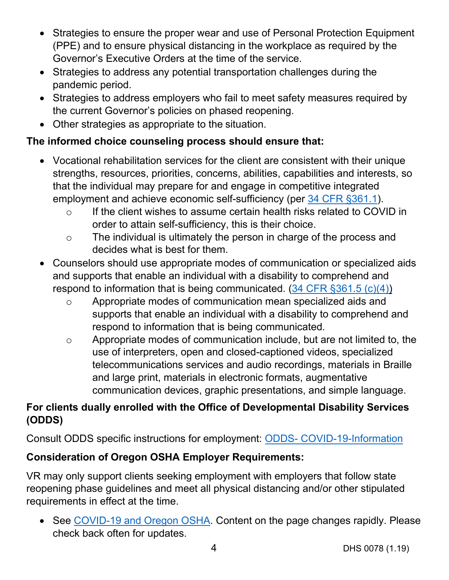- Strategies to ensure the proper wear and use of Personal Protection Equipment (PPE) and to ensure physical distancing in the workplace as required by the Governor's Executive Orders at the time of the service.
- Strategies to address any potential transportation challenges during the pandemic period.
- Strategies to address employers who fail to meet safety measures required by the current Governor's policies on phased reopening.
- Other strategies as appropriate to the situation.

### **The informed choice counseling process should ensure that:**

- Vocational rehabilitation services for the client are consistent with their unique strengths, resources, priorities, concerns, abilities, capabilities and interests, so that the individual may prepare for and engage in competitive integrated employment and achieve economic self-sufficiency (per [34 CFR §361.1\)](https://www.ecfr.gov/cgi-bin/text-idx?SID=aa277f70425b7e91221528f86e94abc6&mc=true&node=se34.2.361_11&rgn=div8).
	- o If the client wishes to assume certain health risks related to COVID in order to attain self-sufficiency, this is their choice.
	- o The individual is ultimately the person in charge of the process and decides what is best for them.
- Counselors should use appropriate modes of communication or specialized aids and supports that enable an individual with a disability to comprehend and respond to information that is being communicated. [\(34 CFR §361.5 \(c\)\(4\)\)](https://www.ecfr.gov/cgi-bin/text-idx?SID=aa277f70425b7e91221528f86e94abc6&mc=true&node=se34.2.361_15&rgn=div8)
	- o Appropriate modes of communication mean specialized aids and supports that enable an individual with a disability to comprehend and respond to information that is being communicated.
	- o Appropriate modes of communication include, but are not limited to, the use of interpreters, open and closed-captioned videos, specialized telecommunications services and audio recordings, materials in Braille and large print, materials in electronic formats, augmentative communication devices, graphic presentations, and simple language.

### **For clients dually enrolled with the Office of Developmental Disability Services (ODDS)**

Consult ODDS specific instructions for employment: ODDS- [COVID-19-Information](https://www.oregon.gov/DHS/SENIORS-DISABILITIES/DD/Pages/ODDS-COVID-19-Information.aspx)

### **Consideration of Oregon OSHA Employer Requirements:**

VR may only support clients seeking employment with employers that follow state reopening phase guidelines and meet all physical distancing and/or other stipulated requirements in effect at the time.

• See [COVID-19 and Oregon OSHA.](https://osha.oregon.gov/covid19/Pages/default.aspx) Content on the page changes rapidly. Please check back often for updates.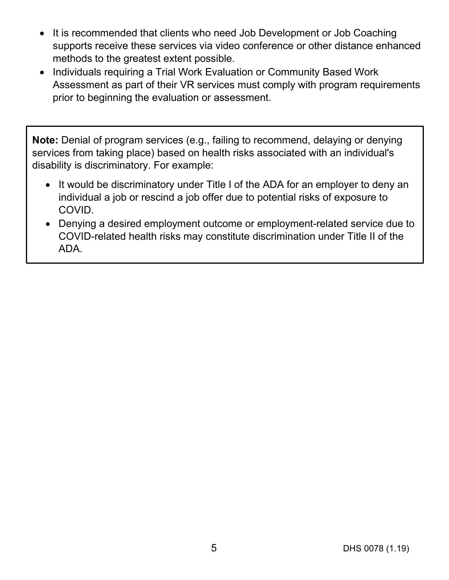- It is recommended that clients who need Job Development or Job Coaching supports receive these services via video conference or other distance enhanced methods to the greatest extent possible.
- Individuals requiring a Trial Work Evaluation or Community Based Work Assessment as part of their VR services must comply with program requirements prior to beginning the evaluation or assessment.

**Note:** Denial of program services (e.g., failing to recommend, delaying or denying services from taking place) based on health risks associated with an individual's disability is discriminatory. For example:

- It would be discriminatory under Title I of the ADA for an employer to deny an individual a job or rescind a job offer due to potential risks of exposure to COVID.
- Denying a desired employment outcome or employment-related service due to COVID-related health risks may constitute discrimination under Title II of the ADA.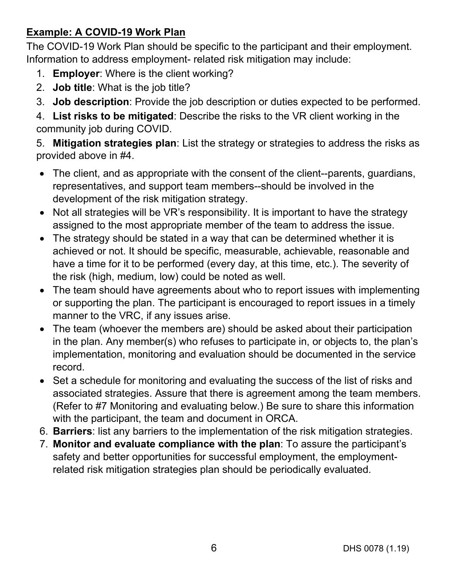#### **Example: A COVID-19 Work Plan**

The COVID-19 Work Plan should be specific to the participant and their employment. Information to address employment- related risk mitigation may include:

- 1. **Employer**: Where is the client working?
- 2. **Job title**: What is the job title?
- 3. **Job description**: Provide the job description or duties expected to be performed.

4. **List risks to be mitigated**: Describe the risks to the VR client working in the community job during COVID.

5. **Mitigation strategies plan**: List the strategy or strategies to address the risks as provided above in #4.

- The client, and as appropriate with the consent of the client--parents, guardians, representatives, and support team members--should be involved in the development of the risk mitigation strategy.
- Not all strategies will be VR's responsibility. It is important to have the strategy assigned to the most appropriate member of the team to address the issue.
- The strategy should be stated in a way that can be determined whether it is achieved or not. It should be specific, measurable, achievable, reasonable and have a time for it to be performed (every day, at this time, etc.). The severity of the risk (high, medium, low) could be noted as well.
- The team should have agreements about who to report issues with implementing or supporting the plan. The participant is encouraged to report issues in a timely manner to the VRC, if any issues arise.
- The team (whoever the members are) should be asked about their participation in the plan. Any member(s) who refuses to participate in, or objects to, the plan's implementation, monitoring and evaluation should be documented in the service record.
- Set a schedule for monitoring and evaluating the success of the list of risks and associated strategies. Assure that there is agreement among the team members. (Refer to #7 Monitoring and evaluating below.) Be sure to share this information with the participant, the team and document in ORCA.
- 6. **Barriers**: list any barriers to the implementation of the risk mitigation strategies.
- 7. **Monitor and evaluate compliance with the plan**: To assure the participant's safety and better opportunities for successful employment, the employmentrelated risk mitigation strategies plan should be periodically evaluated.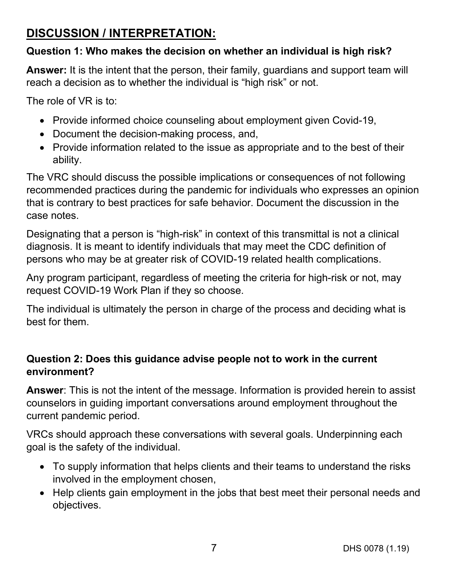### **DISCUSSION / INTERPRETATION:**

#### **Question 1: Who makes the decision on whether an individual is high risk?**

**Answer:** It is the intent that the person, their family, guardians and support team will reach a decision as to whether the individual is "high risk" or not.

The role of VR is to:

- Provide informed choice counseling about employment given Covid-19,
- Document the decision-making process, and,
- Provide information related to the issue as appropriate and to the best of their ability.

The VRC should discuss the possible implications or consequences of not following recommended practices during the pandemic for individuals who expresses an opinion that is contrary to best practices for safe behavior. Document the discussion in the case notes.

Designating that a person is "high-risk" in context of this transmittal is not a clinical diagnosis. It is meant to identify individuals that may meet the CDC definition of persons who may be at greater risk of COVID-19 related health complications.

Any program participant, regardless of meeting the criteria for high-risk or not, may request COVID-19 Work Plan if they so choose.

The individual is ultimately the person in charge of the process and deciding what is best for them.

#### **Question 2: Does this guidance advise people not to work in the current environment?**

**Answer**: This is not the intent of the message. Information is provided herein to assist counselors in guiding important conversations around employment throughout the current pandemic period.

VRCs should approach these conversations with several goals. Underpinning each goal is the safety of the individual.

- To supply information that helps clients and their teams to understand the risks involved in the employment chosen,
- Help clients gain employment in the jobs that best meet their personal needs and objectives.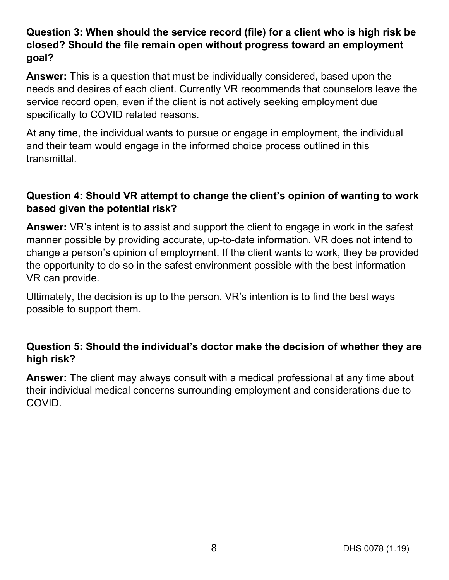#### **Question 3: When should the service record (file) for a client who is high risk be closed? Should the file remain open without progress toward an employment goal?**

**Answer:** This is a question that must be individually considered, based upon the needs and desires of each client. Currently VR recommends that counselors leave the service record open, even if the client is not actively seeking employment due specifically to COVID related reasons.

At any time, the individual wants to pursue or engage in employment, the individual and their team would engage in the informed choice process outlined in this transmittal.

#### **Question 4: Should VR attempt to change the client's opinion of wanting to work based given the potential risk?**

**Answer:** VR's intent is to assist and support the client to engage in work in the safest manner possible by providing accurate, up-to-date information. VR does not intend to change a person's opinion of employment. If the client wants to work, they be provided the opportunity to do so in the safest environment possible with the best information VR can provide.

Ultimately, the decision is up to the person. VR's intention is to find the best ways possible to support them.

#### **Question 5: Should the individual's doctor make the decision of whether they are high risk?**

**Answer:** The client may always consult with a medical professional at any time about their individual medical concerns surrounding employment and considerations due to COVID.